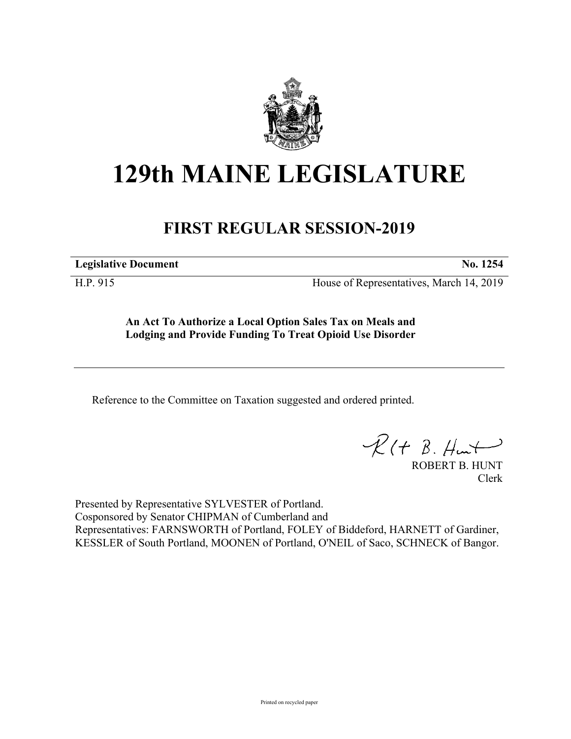

## **129th MAINE LEGISLATURE**

## **FIRST REGULAR SESSION-2019**

**Legislative Document No. 1254**

H.P. 915 House of Representatives, March 14, 2019

**An Act To Authorize a Local Option Sales Tax on Meals and Lodging and Provide Funding To Treat Opioid Use Disorder**

Reference to the Committee on Taxation suggested and ordered printed.

 $R(H B. H<sup>u</sup>)$ 

ROBERT B. HUNT Clerk

Presented by Representative SYLVESTER of Portland. Cosponsored by Senator CHIPMAN of Cumberland and Representatives: FARNSWORTH of Portland, FOLEY of Biddeford, HARNETT of Gardiner, KESSLER of South Portland, MOONEN of Portland, O'NEIL of Saco, SCHNECK of Bangor.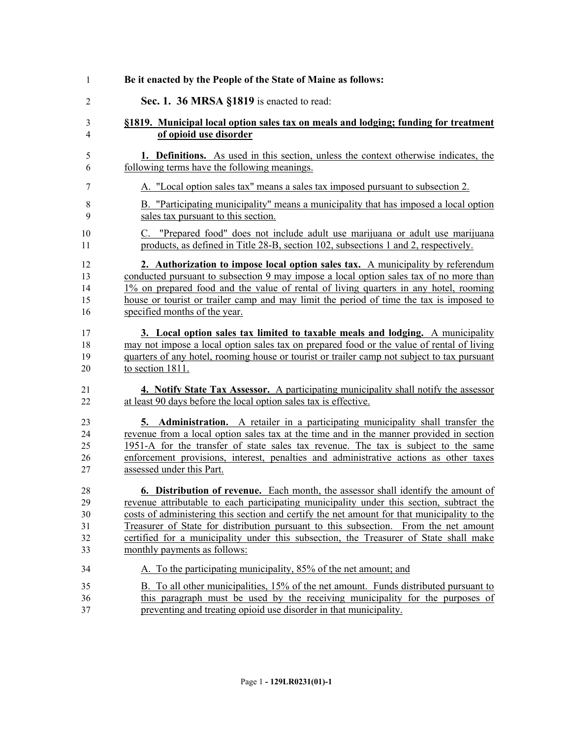| 1      | Be it enacted by the People of the State of Maine as follows:                               |
|--------|---------------------------------------------------------------------------------------------|
| 2      | Sec. 1. 36 MRSA §1819 is enacted to read:                                                   |
| 3      | §1819. Municipal local option sales tax on meals and lodging; funding for treatment         |
| 4      | of opioid use disorder                                                                      |
| 5      | <b>1. Definitions.</b> As used in this section, unless the context otherwise indicates, the |
| 6      | following terms have the following meanings.                                                |
| 7      | A. "Local option sales tax" means a sales tax imposed pursuant to subsection 2.             |
| 8      | B. "Participating municipality" means a municipality that has imposed a local option        |
| 9      | sales tax pursuant to this section.                                                         |
| 10     | C. "Prepared food" does not include adult use marijuana or adult use marijuana              |
| 11     | products, as defined in Title 28-B, section 102, subsections 1 and 2, respectively.         |
| 12     | 2. Authorization to impose local option sales tax. A municipality by referendum             |
| 13     | conducted pursuant to subsection 9 may impose a local option sales tax of no more than      |
| 14     | 1% on prepared food and the value of rental of living quarters in any hotel, rooming        |
| 15     | house or tourist or trailer camp and may limit the period of time the tax is imposed to     |
| 16     | specified months of the year.                                                               |
| 17     | 3. Local option sales tax limited to taxable meals and lodging. A municipality              |
| 18     | may not impose a local option sales tax on prepared food or the value of rental of living   |
| 19     | quarters of any hotel, rooming house or tourist or trailer camp not subject to tax pursuant |
| 20     | to section 1811.                                                                            |
| 21     | 4. Notify State Tax Assessor. A participating municipality shall notify the assessor        |
| 22     | at least 90 days before the local option sales tax is effective.                            |
| 23     | <b>5. Administration.</b> A retailer in a participating municipality shall transfer the     |
| 24     | revenue from a local option sales tax at the time and in the manner provided in section     |
| 25     | 1951-A for the transfer of state sales tax revenue. The tax is subject to the same          |
| 26     | enforcement provisions, interest, penalties and administrative actions as other taxes       |
| 27     | assessed under this Part.                                                                   |
| $28\,$ | 6. Distribution of revenue. Each month, the assessor shall identify the amount of           |
| 29     | revenue attributable to each participating municipality under this section, subtract the    |
| 30     | costs of administering this section and certify the net amount for that municipality to the |
| 31     | Treasurer of State for distribution pursuant to this subsection. From the net amount        |
| 32     | certified for a municipality under this subsection, the Treasurer of State shall make       |
| 33     | monthly payments as follows:                                                                |
| 34     | A. To the participating municipality, 85% of the net amount; and                            |
| 35     | B. To all other municipalities, 15% of the net amount. Funds distributed pursuant to        |
| 36     | this paragraph must be used by the receiving municipality for the purposes of               |
| 37     | preventing and treating opioid use disorder in that municipality.                           |